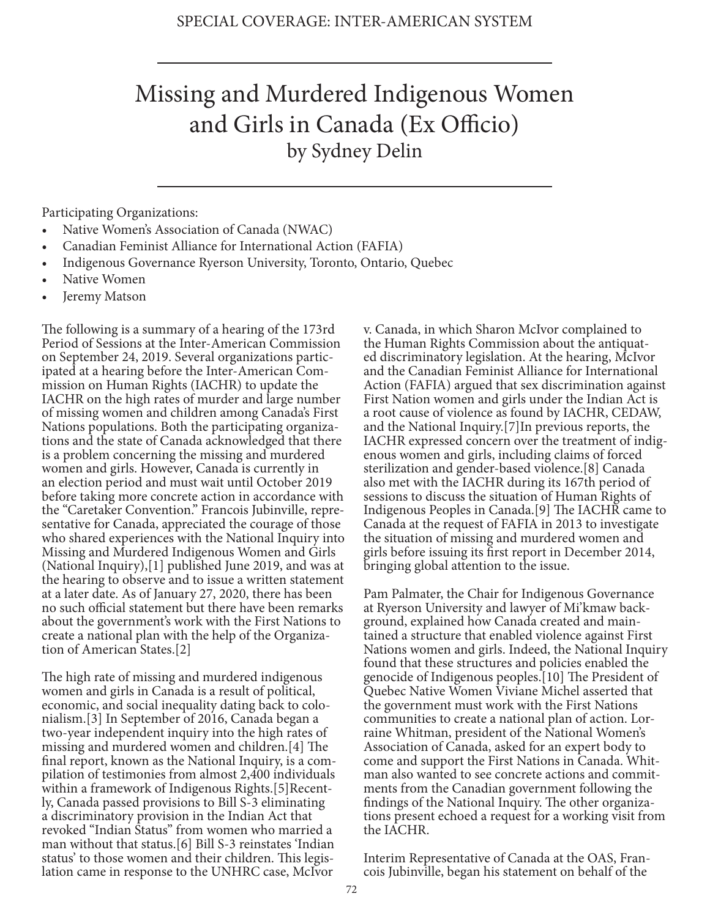## Missing and Murdered Indigenous Women and Girls in Canada (Ex Officio) by Sydney Delin

Participating Organizations:

- Native Women's Association of Canada (NWAC)
- Canadian Feminist Alliance for International Action (FAFIA)
- Indigenous Governance Ryerson University, Toronto, Ontario, Quebec
- Native Women
- Jeremy Matson

The following is a summary of a hearing of the 173rd Period of Sessions at the Inter-American Commission on September 24, 2019. Several organizations participated at a hearing before the Inter-American Commission on Human Rights (IACHR) to update the IACHR on the high rates of murder and large number of missing women and children among Canada's First Nations populations. Both the participating organizations and the state of Canada acknowledged that there is a problem concerning the missing and murdered women and girls. However, Canada is currently in an election period and must wait until October 2019 before taking more concrete action in accordance with the "Caretaker Convention." Francois Jubinville, representative for Canada, appreciated the courage of those who shared experiences with the National Inquiry into Missing and Murdered Indigenous Women and Girls (National Inquiry),[1] published June 2019, and was at the hearing to observe and to issue a written statement at a later date. As of January 27, 2020, there has been no such official statement but there have been remarks about the government's work with the First Nations to create a national plan with the help of the Organization of American States.[2]

The high rate of missing and murdered indigenous women and girls in Canada is a result of political, economic, and social inequality dating back to colonialism.[3] In September of 2016, Canada began a two-year independent inquiry into the high rates of missing and murdered women and children.[4] The final report, known as the National Inquiry, is a compilation of testimonies from almost 2,400 individuals within a framework of Indigenous Rights.[5]Recently, Canada passed provisions to Bill S-3 eliminating a discriminatory provision in the Indian Act that revoked "Indian Status" from women who married a man without that status.[6] Bill S-3 reinstates 'Indian status' to those women and their children. This legislation came in response to the UNHRC case, McIvor

v. Canada, in which Sharon McIvor complained to the Human Rights Commission about the antiquated discriminatory legislation. At the hearing, McIvor and the Canadian Feminist Alliance for International Action (FAFIA) argued that sex discrimination against First Nation women and girls under the Indian Act is a root cause of violence as found by IACHR, CEDAW, and the National Inquiry.[7]In previous reports, the IACHR expressed concern over the treatment of indigenous women and girls, including claims of forced sterilization and gender-based violence.[8] Canada also met with the IACHR during its 167th period of sessions to discuss the situation of Human Rights of Indigenous Peoples in Canada.[9] The IACHR came to Canada at the request of FAFIA in 2013 to investigate the situation of missing and murdered women and girls before issuing its first report in December 2014, bringing global attention to the issue.

Pam Palmater, the Chair for Indigenous Governance at Ryerson University and lawyer of Mi'kmaw background, explained how Canada created and maintained a structure that enabled violence against First Nations women and girls. Indeed, the National Inquiry found that these structures and policies enabled the genocide of Indigenous peoples.[10] The President of Quebec Native Women Viviane Michel asserted that the government must work with the First Nations communities to create a national plan of action. Lorraine Whitman, president of the National Women's Association of Canada, asked for an expert body to come and support the First Nations in Canada. Whitman also wanted to see concrete actions and commitments from the Canadian government following the findings of the National Inquiry. The other organizations present echoed a request for a working visit from the IACHR.

Interim Representative of Canada at the OAS, Francois Jubinville, began his statement on behalf of the